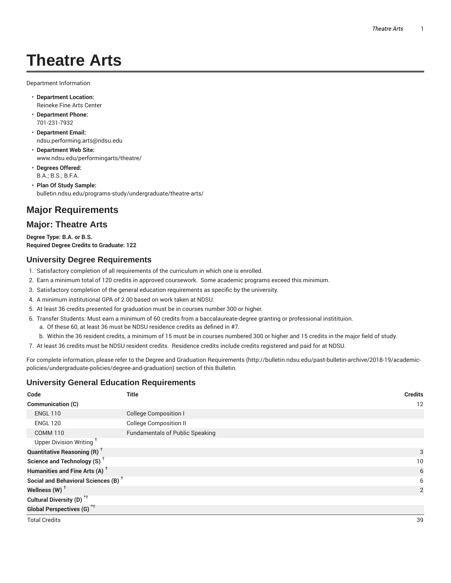# **Theatre Arts**

Department Information

- **Department Location:** Reineke Fine Arts Center
- **Department Phone:** 701-231-7932
- **Department Email:** ndsu.performing.arts@ndsu.edu
- **Department Web Site:** www.ndsu.edu/performingarts/theatre/
- **Degrees Offered:** B.A.; B.S.; B.F.A.
- **Plan Of Study Sample:** bulletin.ndsu.edu/programs-study/undergraduate/theatre-arts/

# **Major Requirements**

# **Major: Theatre Arts**

**Degree Type: B.A. or B.S. Required Degree Credits to Graduate: 122**

### **University Degree Requirements**

- 1. Satisfactory completion of all requirements of the curriculum in which one is enrolled.
- 2. Earn a minimum total of 120 credits in approved coursework. Some academic programs exceed this minimum.
- 3. Satisfactory completion of the general education requirements as specific by the university.
- 4. A minimum institutional GPA of 2.00 based on work taken at NDSU.
- 5. At least 36 credits presented for graduation must be in courses number 300 or higher.
- 6. Transfer Students: Must earn a minimum of 60 credits from a baccalaureate-degree granting or professional institituion.
	- a. Of these 60, at least 36 must be NDSU residence credits as defined in #7.
	- b. Within the 36 resident credits, a minimum of 15 must be in courses numbered 300 or higher and 15 credits in the major field of study.
- 7. At least 36 credits must be NDSU resident credits. Residence credits include credits registered and paid for at NDSU.

For complete information, please refer to the Degree and Graduation Requirements (http://bulletin.ndsu.edu/past-bulletin-archive/2018-19/academicpolicies/undergraduate-policies/degree-and-graduation) section of this Bulletin.

# **University General Education Requirements**

| Code                                            | <b>Title</b>                           | <b>Credits</b> |
|-------------------------------------------------|----------------------------------------|----------------|
| Communication (C)                               |                                        | 12             |
| <b>ENGL 110</b>                                 | <b>College Composition I</b>           |                |
| <b>ENGL 120</b>                                 | <b>College Composition II</b>          |                |
| <b>COMM 110</b>                                 | <b>Fundamentals of Public Speaking</b> |                |
| Upper Division Writing <sup>+</sup>             |                                        |                |
| <b>Quantitative Reasoning (R)</b> <sup>+</sup>  |                                        | 3              |
| Science and Technology (S) <sup>+</sup>         |                                        | 10             |
| Humanities and Fine Arts (A) <sup>+</sup>       |                                        | 6              |
| Social and Behavioral Sciences (B) <sup>+</sup> |                                        | 6              |
| Wellness $(W)$ <sup>+</sup>                     |                                        | $\overline{2}$ |
| Cultural Diversity (D) <sup>*†</sup>            |                                        |                |
| <b>Global Perspectives (G)</b> <sup>*†</sup>    |                                        |                |
| <b>Total Credits</b>                            |                                        | 39             |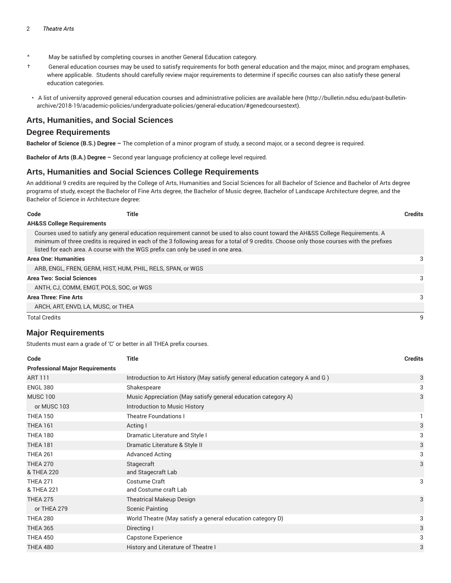- \* May be satisfied by completing courses in another General Education category.
- † General education courses may be used to satisfy requirements for both general education and the major, minor, and program emphases, where applicable. Students should carefully review major requirements to determine if specific courses can also satisfy these general education categories.
- A list of university approved general education courses and administrative policies are available here (http://bulletin.ndsu.edu/past-bulletinarchive/2018-19/academic-policies/undergraduate-policies/general-education/#genedcoursestext).

#### **Arts, Humanities, and Social Sciences**

#### **Degree Requirements**

**Bachelor of Science (B.S.) Degree –** The completion of a minor program of study, a second major, or a second degree is required.

**Bachelor of Arts (B.A.) Degree –** Second year language proficiency at college level required.

#### **Arts, Humanities and Social Sciences College Requirements**

An additional 9 credits are required by the College of Arts, Humanities and Social Sciences for all Bachelor of Science and Bachelor of Arts degree programs of study, except the Bachelor of Fine Arts degree, the Bachelor of Music degree, Bachelor of Landscape Architecture degree, and the Bachelor of Science in Architecture degree:

| Code                                  | Title                                                                                                                                                                                                                                                                          | <b>Credits</b> |
|---------------------------------------|--------------------------------------------------------------------------------------------------------------------------------------------------------------------------------------------------------------------------------------------------------------------------------|----------------|
| <b>AH&amp;SS College Requirements</b> |                                                                                                                                                                                                                                                                                |                |
|                                       | Courses used to satisfy any general education requirement cannot be used to also count toward the AH&SS College Requirements. A<br>minimum of three credits is required in each of the 3 following areas for a total of 9 credits. Choose only those courses with the prefixes |                |
|                                       | listed for each area. A course with the WGS prefix can only be used in one area.                                                                                                                                                                                               |                |

#### **Area One: Humanities** 3

| ARB, ENGL, FREN, GERM, HIST, HUM, PHIL, RELS, SPAN, or WGS |   |
|------------------------------------------------------------|---|
| <b>Area Two: Social Sciences</b>                           | 3 |
| ANTH, CJ, COMM, EMGT, POLS, SOC, or WGS                    |   |
| Area Three: Fine Arts                                      | 3 |
| ARCH, ART, ENVD, LA, MUSC, or THEA                         |   |
| <b>Total Credits</b>                                       | q |

#### **Major Requirements**

Students must earn a grade of 'C' or better in all THEA prefix courses.

| Code                                   | <b>Title</b>                                                                 | <b>Credits</b> |
|----------------------------------------|------------------------------------------------------------------------------|----------------|
| <b>Professional Major Requirements</b> |                                                                              |                |
| <b>ART 111</b>                         | Introduction to Art History (May satisfy general education category A and G) | 3              |
| <b>ENGL 380</b>                        | Shakespeare                                                                  | 3              |
| <b>MUSC 100</b>                        | Music Appreciation (May satisfy general education category A)                | 3              |
| or MUSC 103                            | Introduction to Music History                                                |                |
| <b>THEA 150</b>                        | <b>Theatre Foundations I</b>                                                 |                |
| <b>THEA 161</b>                        | Acting I                                                                     | 3              |
| <b>THEA 180</b>                        | Dramatic Literature and Style I                                              | 3              |
| <b>THEA 181</b>                        | Dramatic Literature & Style II                                               | 3              |
| <b>THEA 261</b>                        | <b>Advanced Acting</b>                                                       | 3              |
| <b>THEA 270</b>                        | Stagecraft                                                                   | 3              |
| & THEA 220                             | and Stagecraft Lab                                                           |                |
| <b>THEA 271</b>                        | Costume Craft                                                                | 3              |
| & THEA 221                             | and Costume craft Lab                                                        |                |
| <b>THEA 275</b>                        | <b>Theatrical Makeup Design</b>                                              | 3              |
| or THEA 279                            | <b>Scenic Painting</b>                                                       |                |
| <b>THEA 280</b>                        | World Theatre (May satisfy a general education category D)                   | 3              |
| <b>THEA 365</b>                        | Directing I                                                                  | 3              |
| <b>THEA 450</b>                        | Capstone Experience                                                          | 3              |
| <b>THEA 480</b>                        | History and Literature of Theatre I                                          | 3              |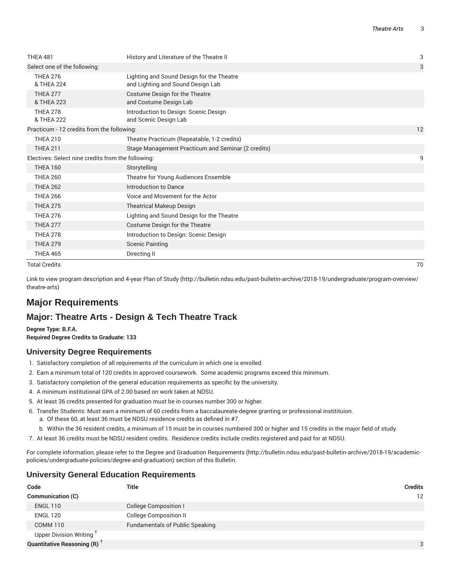| <b>THEA 481</b>                                    | History and Literature of the Theatre II                                       | 3  |
|----------------------------------------------------|--------------------------------------------------------------------------------|----|
| Select one of the following:                       |                                                                                | 3  |
| <b>THEA 276</b><br>& THEA 224                      | Lighting and Sound Design for the Theatre<br>and Lighting and Sound Design Lab |    |
| <b>THEA 277</b><br>& THEA 223                      | Costume Design for the Theatre<br>and Costume Design Lab                       |    |
| <b>THEA 278</b><br>& THEA 222                      | Introduction to Design: Scenic Design<br>and Scenic Design Lab                 |    |
| Practicum - 12 credits from the following:         |                                                                                | 12 |
| <b>THEA 210</b>                                    | Theatre Practicum (Repeatable, 1-2 credits)                                    |    |
| <b>THEA 211</b>                                    | Stage Management Practicum and Seminar (2 credits)                             |    |
| Electives: Select nine credits from the following: |                                                                                | 9  |
| <b>THEA 160</b>                                    | Storytelling                                                                   |    |
| <b>THEA 260</b>                                    | Theatre for Young Audiences Ensemble                                           |    |
| <b>THEA 262</b>                                    | <b>Introduction to Dance</b>                                                   |    |
| <b>THEA 266</b>                                    | Voice and Movement for the Actor                                               |    |
| <b>THEA 275</b>                                    | <b>Theatrical Makeup Design</b>                                                |    |
| <b>THEA 276</b>                                    | Lighting and Sound Design for the Theatre                                      |    |
| <b>THEA 277</b>                                    | Costume Design for the Theatre                                                 |    |
| <b>THEA 278</b>                                    | Introduction to Design: Scenic Design                                          |    |
| <b>THEA 279</b>                                    | <b>Scenic Painting</b>                                                         |    |
| <b>THEA 465</b>                                    | Directing II                                                                   |    |
| <b>Total Credits</b>                               |                                                                                | 70 |

Link to view program description and 4-year Plan of Study (http://bulletin.ndsu.edu/past-bulletin-archive/2018-19/undergraduate/program-overview/ theatre-arts)

# **Major Requirements**

# **Major: Theatre Arts - Design & Tech Theatre Track**

#### **Degree Type: B.F.A.**

**Required Degree Credits to Graduate: 133**

#### **University Degree Requirements**

- 1. Satisfactory completion of all requirements of the curriculum in which one is enrolled.
- 2. Earn a minimum total of 120 credits in approved coursework. Some academic programs exceed this minimum.
- 3. Satisfactory completion of the general education requirements as specific by the university.
- 4. A minimum institutional GPA of 2.00 based on work taken at NDSU.
- 5. At least 36 credits presented for graduation must be in courses number 300 or higher.
- 6. Transfer Students: Must earn a minimum of 60 credits from a baccalaureate-degree granting or professional institituion.
	- a. Of these 60, at least 36 must be NDSU residence credits as defined in #7.
	- b. Within the 36 resident credits, a minimum of 15 must be in courses numbered 300 or higher and 15 credits in the major field of study.
- 7. At least 36 credits must be NDSU resident credits. Residence credits include credits registered and paid for at NDSU.

For complete information, please refer to the Degree and Graduation Requirements (http://bulletin.ndsu.edu/past-bulletin-archive/2018-19/academicpolicies/undergraduate-policies/degree-and-graduation) section of this Bulletin.

#### **University General Education Requirements**

| Code                                           | <b>Title</b>                           | <b>Credits</b> |
|------------------------------------------------|----------------------------------------|----------------|
| Communication (C)                              |                                        | 12             |
| <b>ENGL 110</b>                                | <b>College Composition I</b>           |                |
| <b>ENGL 120</b>                                | <b>College Composition II</b>          |                |
| COMM <sub>110</sub>                            | <b>Fundamentals of Public Speaking</b> |                |
| Upper Division Writing <sup>T</sup>            |                                        |                |
| <b>Quantitative Reasoning (R)</b> <sup>†</sup> |                                        | 3              |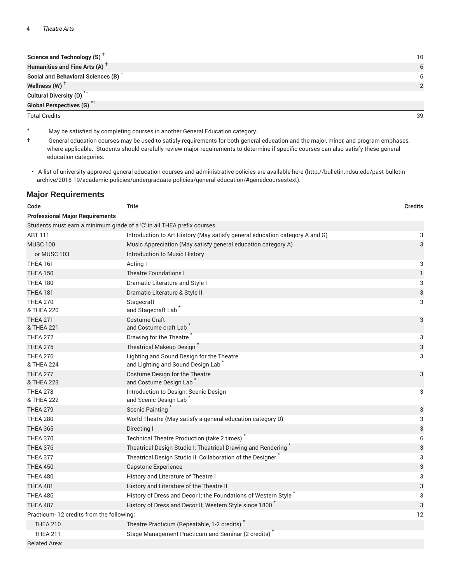| Science and Technology $(S)$ <sup>T</sup>       | 10 |
|-------------------------------------------------|----|
| Humanities and Fine Arts (A) <sup>+</sup>       |    |
| Social and Behavioral Sciences (B) <sup>+</sup> |    |
| Wellness (W) $^{\top}$                          |    |
| Cultural Diversity (D) <sup>*†</sup>            |    |
| <b>Global Perspectives (G)<sup>*†</sup></b>     |    |

Total Credits 39

- \* May be satisfied by completing courses in another General Education category.
- † General education courses may be used to satisfy requirements for both general education and the major, minor, and program emphases, where applicable. Students should carefully review major requirements to determine if specific courses can also satisfy these general education categories.
- A list of university approved general education courses and administrative policies are available here (http://bulletin.ndsu.edu/past-bulletinarchive/2018-19/academic-policies/undergraduate-policies/general-education/#genedcoursestext).

#### **Major Requirements**

| Code                                                                    | <b>Title</b>                                                                                | <b>Credits</b>            |
|-------------------------------------------------------------------------|---------------------------------------------------------------------------------------------|---------------------------|
| <b>Professional Major Requirements</b>                                  |                                                                                             |                           |
| Students must earn a minimum grade of a 'C' in all THEA prefix courses. |                                                                                             |                           |
| <b>ART 111</b>                                                          | Introduction to Art History (May satisfy general education category A and G)                | 3                         |
| <b>MUSC 100</b>                                                         | Music Appreciation (May satisfy general education category A)                               | 3                         |
| or MUSC 103                                                             | Introduction to Music History                                                               |                           |
| <b>THEA 161</b>                                                         | Acting I                                                                                    | 3                         |
| <b>THEA 150</b>                                                         | <b>Theatre Foundations I</b>                                                                | 1                         |
| <b>THEA 180</b>                                                         | Dramatic Literature and Style I                                                             | 3                         |
| <b>THEA 181</b>                                                         | Dramatic Literature & Style II                                                              | 3                         |
| <b>THEA 270</b><br>& THEA 220                                           | Stagecraft<br>and Stagecraft Lab <sup>*</sup>                                               | 3                         |
| <b>THEA 271</b><br>& THEA 221                                           | <b>Costume Craft</b><br>and Costume craft Lab                                               | 3                         |
| <b>THEA 272</b>                                                         | Drawing for the Theatre                                                                     | 3                         |
| <b>THEA 275</b>                                                         | <b>Theatrical Makeup Design</b>                                                             | $\ensuremath{\mathsf{3}}$ |
| <b>THEA 276</b><br>& THEA 224                                           | Lighting and Sound Design for the Theatre<br>and Lighting and Sound Design Lab <sup>*</sup> | 3                         |
| <b>THEA 277</b><br>& THEA 223                                           | Costume Design for the Theatre<br>and Costume Design Lab                                    | 3                         |
| <b>THEA 278</b><br>& THEA 222                                           | Introduction to Design: Scenic Design<br>and Scenic Design Lab                              | 3                         |
| <b>THEA 279</b>                                                         | <b>Scenic Painting</b>                                                                      | 3                         |
| <b>THEA 280</b>                                                         | World Theatre (May satisfy a general education category D)                                  | 3                         |
| <b>THEA 365</b>                                                         | Directing I                                                                                 | 3                         |
| <b>THEA 370</b>                                                         | Technical Theatre Production (take 2 times)                                                 | 6                         |
| <b>THEA 376</b>                                                         | Theatrical Design Studio I: Theatrical Drawing and Rendering                                | 3                         |
| <b>THEA 377</b>                                                         | Theatrical Design Studio II: Collaboration of the Designer                                  | 3                         |
| <b>THEA 450</b>                                                         | Capstone Experience                                                                         | 3                         |
| <b>THEA 480</b>                                                         | History and Literature of Theatre I                                                         | 3                         |
| <b>THEA 481</b>                                                         | History and Literature of the Theatre II                                                    | 3                         |
| <b>THEA 486</b>                                                         | History of Dress and Decor I; the Foundations of Western Style                              | 3                         |
| THEA 487                                                                | History of Dress and Decor II; Western Style since 1800                                     | 3                         |
| Practicum-12 credits from the following:                                |                                                                                             | 12                        |
| <b>THEA 210</b>                                                         | Theatre Practicum (Repeatable, 1-2 credits)                                                 |                           |
| <b>THEA 211</b>                                                         | Stage Management Practicum and Seminar (2 credits)                                          |                           |
| <b>Related Area:</b>                                                    |                                                                                             |                           |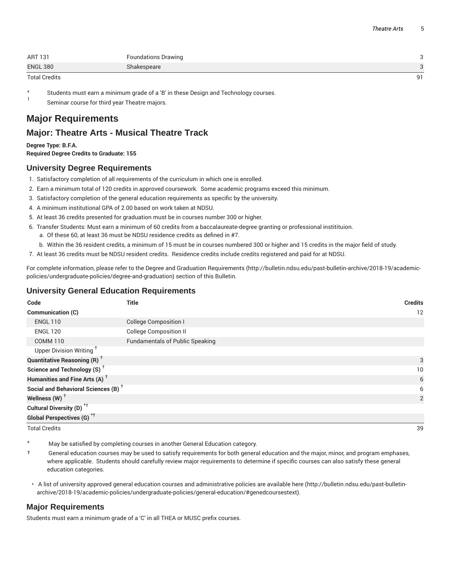| ART 131         | <b>Foundations Drawing</b> |    |
|-----------------|----------------------------|----|
| <b>ENGL 380</b> | Shakespeare                |    |
| Total Credits   |                            | 91 |

Students must earn a minimum grade of a 'B' in these Design and Technology courses.

1 Seminar course for third year Theatre majors.

# **Major Requirements**

# **Major: Theatre Arts - Musical Theatre Track**

**Degree Type: B.F.A. Required Degree Credits to Graduate: 155**

#### **University Degree Requirements**

- 1. Satisfactory completion of all requirements of the curriculum in which one is enrolled.
- 2. Earn a minimum total of 120 credits in approved coursework. Some academic programs exceed this minimum.
- 3. Satisfactory completion of the general education requirements as specific by the university.
- 4. A minimum institutional GPA of 2.00 based on work taken at NDSU.
- 5. At least 36 credits presented for graduation must be in courses number 300 or higher.
- 6. Transfer Students: Must earn a minimum of 60 credits from a baccalaureate-degree granting or professional institituion.
	- a. Of these 60, at least 36 must be NDSU residence credits as defined in #7.
	- b. Within the 36 resident credits, a minimum of 15 must be in courses numbered 300 or higher and 15 credits in the major field of study.
- 7. At least 36 credits must be NDSU resident credits. Residence credits include credits registered and paid for at NDSU.

For complete information, please refer to the Degree and Graduation Requirements (http://bulletin.ndsu.edu/past-bulletin-archive/2018-19/academicpolicies/undergraduate-policies/degree-and-graduation) section of this Bulletin.

#### **University General Education Requirements**

| Code                                            | <b>Title</b>                           | <b>Credits</b> |
|-------------------------------------------------|----------------------------------------|----------------|
| <b>Communication (C)</b>                        |                                        | 12             |
| <b>ENGL 110</b>                                 | <b>College Composition I</b>           |                |
| <b>ENGL 120</b>                                 | <b>College Composition II</b>          |                |
| <b>COMM 110</b>                                 | <b>Fundamentals of Public Speaking</b> |                |
| Upper Division Writing <sup>+</sup>             |                                        |                |
| <b>Quantitative Reasoning (R)</b> <sup>†</sup>  |                                        | 3              |
| Science and Technology (S) <sup>+</sup>         |                                        | 10             |
| Humanities and Fine Arts (A) <sup>+</sup>       |                                        | 6              |
| Social and Behavioral Sciences (B) <sup>+</sup> |                                        | 6              |
| Wellness (W) $^{\dagger}$                       |                                        | 2              |
| Cultural Diversity (D) <sup>*†</sup>            |                                        |                |
| <b>Global Perspectives (G)<sup>*†</sup></b>     |                                        |                |

Total Credits 39

- May be satisfied by completing courses in another General Education category.
- † General education courses may be used to satisfy requirements for both general education and the major, minor, and program emphases, where applicable. Students should carefully review major requirements to determine if specific courses can also satisfy these general education categories.
- A list of university approved general education courses and administrative policies are available here (http://bulletin.ndsu.edu/past-bulletinarchive/2018-19/academic-policies/undergraduate-policies/general-education/#genedcoursestext).

#### **Major Requirements**

Students must earn a minimum grade of a 'C' in all THEA or MUSC prefix courses.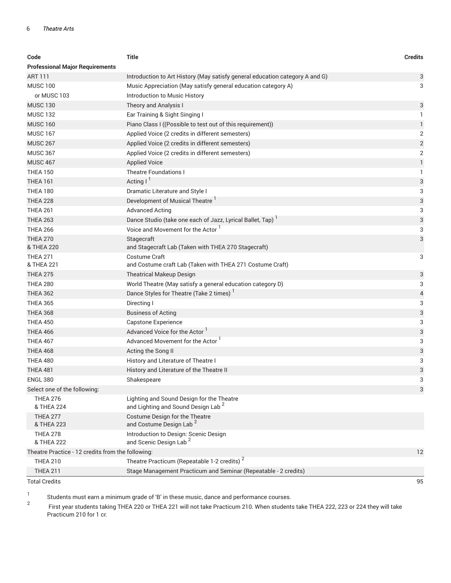#### 6 *Theatre Arts*

| <b>Professional Major Requirements</b><br><b>ART 111</b><br>Introduction to Art History (May satisfy general education category A and G)<br>3<br><b>MUSC 100</b><br>3<br>Music Appreciation (May satisfy general education category A)<br>or MUSC 103<br>Introduction to Music History<br><b>MUSC 130</b><br>Theory and Analysis I<br>3<br><b>MUSC 132</b><br>Ear Training & Sight Singing I<br>1<br><b>MUSC 160</b><br>Piano Class I ((Possible to test out of this requirement))<br>1<br>$\overline{2}$<br><b>MUSC 167</b><br>Applied Voice (2 credits in different semesters)<br>$\overline{2}$<br><b>MUSC 267</b><br>Applied Voice (2 credits in different semesters)<br><b>MUSC 367</b><br>2<br>Applied Voice (2 credits in different semesters)<br><b>MUSC 467</b><br><b>Applied Voice</b><br>1<br><b>THEA 150</b><br><b>Theatre Foundations I</b><br>1<br>Acting $I1$<br>3<br><b>THEA 161</b><br><b>THEA 180</b><br>Dramatic Literature and Style I<br>3<br>Development of Musical Theatre <sup>1</sup><br>3<br><b>THEA 228</b><br>3<br><b>THEA 261</b><br><b>Advanced Acting</b><br>Dance Studio (take one each of Jazz, Lyrical Ballet, Tap)<br>3<br><b>THEA 263</b><br>Voice and Movement for the Actor<br><b>THEA 266</b><br>3<br>3<br><b>THEA 270</b><br>Stagecraft<br>& THEA 220<br>and Stagecraft Lab (Taken with THEA 270 Stagecraft)<br>Costume Craft<br><b>THEA 271</b><br>3<br>& THEA 221<br>and Costume craft Lab (Taken with THEA 271 Costume Craft)<br><b>THEA 275</b><br>3<br><b>Theatrical Makeup Design</b><br><b>THEA 280</b><br>World Theatre (May satisfy a general education category D)<br>3<br>Dance Styles for Theatre (Take 2 times) <sup>1</sup><br><b>THEA 362</b><br>4<br><b>THEA 365</b><br>3<br>Directing I<br>3<br><b>THEA 368</b><br><b>Business of Acting</b><br><b>THEA 450</b><br>3<br><b>Capstone Experience</b><br>Advanced Voice for the Actor<br>3<br><b>THEA 466</b><br>Advanced Movement for the Actor<br><b>THEA 467</b><br>3<br>3<br>THEA 468<br>Acting the Song II<br><b>THEA 480</b><br>History and Literature of Theatre I<br>3<br>3<br><b>THEA 481</b><br>History and Literature of the Theatre II<br><b>ENGL 380</b><br>Shakespeare<br>З<br>3<br>Select one of the following:<br>Lighting and Sound Design for the Theatre<br><b>THEA 276</b><br>and Lighting and Sound Design Lab <sup>2</sup><br>& THEA 224<br>Costume Design for the Theatre<br><b>THEA 277</b><br>and Costume Design Lab <sup>2</sup><br>& THEA 223<br>Introduction to Design: Scenic Design<br><b>THEA 278</b><br>and Scenic Design Lab <sup>2</sup><br>& THEA 222<br>Theatre Practice - 12 credits from the following:<br>12<br>Theatre Practicum (Repeatable 1-2 credits) <sup>2</sup><br><b>THEA 210</b> | Code            | <b>Title</b>                                                    | <b>Credits</b> |
|-----------------------------------------------------------------------------------------------------------------------------------------------------------------------------------------------------------------------------------------------------------------------------------------------------------------------------------------------------------------------------------------------------------------------------------------------------------------------------------------------------------------------------------------------------------------------------------------------------------------------------------------------------------------------------------------------------------------------------------------------------------------------------------------------------------------------------------------------------------------------------------------------------------------------------------------------------------------------------------------------------------------------------------------------------------------------------------------------------------------------------------------------------------------------------------------------------------------------------------------------------------------------------------------------------------------------------------------------------------------------------------------------------------------------------------------------------------------------------------------------------------------------------------------------------------------------------------------------------------------------------------------------------------------------------------------------------------------------------------------------------------------------------------------------------------------------------------------------------------------------------------------------------------------------------------------------------------------------------------------------------------------------------------------------------------------------------------------------------------------------------------------------------------------------------------------------------------------------------------------------------------------------------------------------------------------------------------------------------------------------------------------------------------------------------------------------------------------------------------------------------------------------------------------------------------------------------------------------------------------------------------------------------------------------------------------------------------------------------------------|-----------------|-----------------------------------------------------------------|----------------|
|                                                                                                                                                                                                                                                                                                                                                                                                                                                                                                                                                                                                                                                                                                                                                                                                                                                                                                                                                                                                                                                                                                                                                                                                                                                                                                                                                                                                                                                                                                                                                                                                                                                                                                                                                                                                                                                                                                                                                                                                                                                                                                                                                                                                                                                                                                                                                                                                                                                                                                                                                                                                                                                                                                                                         |                 |                                                                 |                |
|                                                                                                                                                                                                                                                                                                                                                                                                                                                                                                                                                                                                                                                                                                                                                                                                                                                                                                                                                                                                                                                                                                                                                                                                                                                                                                                                                                                                                                                                                                                                                                                                                                                                                                                                                                                                                                                                                                                                                                                                                                                                                                                                                                                                                                                                                                                                                                                                                                                                                                                                                                                                                                                                                                                                         |                 |                                                                 |                |
|                                                                                                                                                                                                                                                                                                                                                                                                                                                                                                                                                                                                                                                                                                                                                                                                                                                                                                                                                                                                                                                                                                                                                                                                                                                                                                                                                                                                                                                                                                                                                                                                                                                                                                                                                                                                                                                                                                                                                                                                                                                                                                                                                                                                                                                                                                                                                                                                                                                                                                                                                                                                                                                                                                                                         |                 |                                                                 |                |
|                                                                                                                                                                                                                                                                                                                                                                                                                                                                                                                                                                                                                                                                                                                                                                                                                                                                                                                                                                                                                                                                                                                                                                                                                                                                                                                                                                                                                                                                                                                                                                                                                                                                                                                                                                                                                                                                                                                                                                                                                                                                                                                                                                                                                                                                                                                                                                                                                                                                                                                                                                                                                                                                                                                                         |                 |                                                                 |                |
|                                                                                                                                                                                                                                                                                                                                                                                                                                                                                                                                                                                                                                                                                                                                                                                                                                                                                                                                                                                                                                                                                                                                                                                                                                                                                                                                                                                                                                                                                                                                                                                                                                                                                                                                                                                                                                                                                                                                                                                                                                                                                                                                                                                                                                                                                                                                                                                                                                                                                                                                                                                                                                                                                                                                         |                 |                                                                 |                |
|                                                                                                                                                                                                                                                                                                                                                                                                                                                                                                                                                                                                                                                                                                                                                                                                                                                                                                                                                                                                                                                                                                                                                                                                                                                                                                                                                                                                                                                                                                                                                                                                                                                                                                                                                                                                                                                                                                                                                                                                                                                                                                                                                                                                                                                                                                                                                                                                                                                                                                                                                                                                                                                                                                                                         |                 |                                                                 |                |
|                                                                                                                                                                                                                                                                                                                                                                                                                                                                                                                                                                                                                                                                                                                                                                                                                                                                                                                                                                                                                                                                                                                                                                                                                                                                                                                                                                                                                                                                                                                                                                                                                                                                                                                                                                                                                                                                                                                                                                                                                                                                                                                                                                                                                                                                                                                                                                                                                                                                                                                                                                                                                                                                                                                                         |                 |                                                                 |                |
|                                                                                                                                                                                                                                                                                                                                                                                                                                                                                                                                                                                                                                                                                                                                                                                                                                                                                                                                                                                                                                                                                                                                                                                                                                                                                                                                                                                                                                                                                                                                                                                                                                                                                                                                                                                                                                                                                                                                                                                                                                                                                                                                                                                                                                                                                                                                                                                                                                                                                                                                                                                                                                                                                                                                         |                 |                                                                 |                |
|                                                                                                                                                                                                                                                                                                                                                                                                                                                                                                                                                                                                                                                                                                                                                                                                                                                                                                                                                                                                                                                                                                                                                                                                                                                                                                                                                                                                                                                                                                                                                                                                                                                                                                                                                                                                                                                                                                                                                                                                                                                                                                                                                                                                                                                                                                                                                                                                                                                                                                                                                                                                                                                                                                                                         |                 |                                                                 |                |
|                                                                                                                                                                                                                                                                                                                                                                                                                                                                                                                                                                                                                                                                                                                                                                                                                                                                                                                                                                                                                                                                                                                                                                                                                                                                                                                                                                                                                                                                                                                                                                                                                                                                                                                                                                                                                                                                                                                                                                                                                                                                                                                                                                                                                                                                                                                                                                                                                                                                                                                                                                                                                                                                                                                                         |                 |                                                                 |                |
|                                                                                                                                                                                                                                                                                                                                                                                                                                                                                                                                                                                                                                                                                                                                                                                                                                                                                                                                                                                                                                                                                                                                                                                                                                                                                                                                                                                                                                                                                                                                                                                                                                                                                                                                                                                                                                                                                                                                                                                                                                                                                                                                                                                                                                                                                                                                                                                                                                                                                                                                                                                                                                                                                                                                         |                 |                                                                 |                |
|                                                                                                                                                                                                                                                                                                                                                                                                                                                                                                                                                                                                                                                                                                                                                                                                                                                                                                                                                                                                                                                                                                                                                                                                                                                                                                                                                                                                                                                                                                                                                                                                                                                                                                                                                                                                                                                                                                                                                                                                                                                                                                                                                                                                                                                                                                                                                                                                                                                                                                                                                                                                                                                                                                                                         |                 |                                                                 |                |
|                                                                                                                                                                                                                                                                                                                                                                                                                                                                                                                                                                                                                                                                                                                                                                                                                                                                                                                                                                                                                                                                                                                                                                                                                                                                                                                                                                                                                                                                                                                                                                                                                                                                                                                                                                                                                                                                                                                                                                                                                                                                                                                                                                                                                                                                                                                                                                                                                                                                                                                                                                                                                                                                                                                                         |                 |                                                                 |                |
|                                                                                                                                                                                                                                                                                                                                                                                                                                                                                                                                                                                                                                                                                                                                                                                                                                                                                                                                                                                                                                                                                                                                                                                                                                                                                                                                                                                                                                                                                                                                                                                                                                                                                                                                                                                                                                                                                                                                                                                                                                                                                                                                                                                                                                                                                                                                                                                                                                                                                                                                                                                                                                                                                                                                         |                 |                                                                 |                |
|                                                                                                                                                                                                                                                                                                                                                                                                                                                                                                                                                                                                                                                                                                                                                                                                                                                                                                                                                                                                                                                                                                                                                                                                                                                                                                                                                                                                                                                                                                                                                                                                                                                                                                                                                                                                                                                                                                                                                                                                                                                                                                                                                                                                                                                                                                                                                                                                                                                                                                                                                                                                                                                                                                                                         |                 |                                                                 |                |
|                                                                                                                                                                                                                                                                                                                                                                                                                                                                                                                                                                                                                                                                                                                                                                                                                                                                                                                                                                                                                                                                                                                                                                                                                                                                                                                                                                                                                                                                                                                                                                                                                                                                                                                                                                                                                                                                                                                                                                                                                                                                                                                                                                                                                                                                                                                                                                                                                                                                                                                                                                                                                                                                                                                                         |                 |                                                                 |                |
|                                                                                                                                                                                                                                                                                                                                                                                                                                                                                                                                                                                                                                                                                                                                                                                                                                                                                                                                                                                                                                                                                                                                                                                                                                                                                                                                                                                                                                                                                                                                                                                                                                                                                                                                                                                                                                                                                                                                                                                                                                                                                                                                                                                                                                                                                                                                                                                                                                                                                                                                                                                                                                                                                                                                         |                 |                                                                 |                |
|                                                                                                                                                                                                                                                                                                                                                                                                                                                                                                                                                                                                                                                                                                                                                                                                                                                                                                                                                                                                                                                                                                                                                                                                                                                                                                                                                                                                                                                                                                                                                                                                                                                                                                                                                                                                                                                                                                                                                                                                                                                                                                                                                                                                                                                                                                                                                                                                                                                                                                                                                                                                                                                                                                                                         |                 |                                                                 |                |
|                                                                                                                                                                                                                                                                                                                                                                                                                                                                                                                                                                                                                                                                                                                                                                                                                                                                                                                                                                                                                                                                                                                                                                                                                                                                                                                                                                                                                                                                                                                                                                                                                                                                                                                                                                                                                                                                                                                                                                                                                                                                                                                                                                                                                                                                                                                                                                                                                                                                                                                                                                                                                                                                                                                                         |                 |                                                                 |                |
|                                                                                                                                                                                                                                                                                                                                                                                                                                                                                                                                                                                                                                                                                                                                                                                                                                                                                                                                                                                                                                                                                                                                                                                                                                                                                                                                                                                                                                                                                                                                                                                                                                                                                                                                                                                                                                                                                                                                                                                                                                                                                                                                                                                                                                                                                                                                                                                                                                                                                                                                                                                                                                                                                                                                         |                 |                                                                 |                |
|                                                                                                                                                                                                                                                                                                                                                                                                                                                                                                                                                                                                                                                                                                                                                                                                                                                                                                                                                                                                                                                                                                                                                                                                                                                                                                                                                                                                                                                                                                                                                                                                                                                                                                                                                                                                                                                                                                                                                                                                                                                                                                                                                                                                                                                                                                                                                                                                                                                                                                                                                                                                                                                                                                                                         |                 |                                                                 |                |
|                                                                                                                                                                                                                                                                                                                                                                                                                                                                                                                                                                                                                                                                                                                                                                                                                                                                                                                                                                                                                                                                                                                                                                                                                                                                                                                                                                                                                                                                                                                                                                                                                                                                                                                                                                                                                                                                                                                                                                                                                                                                                                                                                                                                                                                                                                                                                                                                                                                                                                                                                                                                                                                                                                                                         |                 |                                                                 |                |
|                                                                                                                                                                                                                                                                                                                                                                                                                                                                                                                                                                                                                                                                                                                                                                                                                                                                                                                                                                                                                                                                                                                                                                                                                                                                                                                                                                                                                                                                                                                                                                                                                                                                                                                                                                                                                                                                                                                                                                                                                                                                                                                                                                                                                                                                                                                                                                                                                                                                                                                                                                                                                                                                                                                                         |                 |                                                                 |                |
|                                                                                                                                                                                                                                                                                                                                                                                                                                                                                                                                                                                                                                                                                                                                                                                                                                                                                                                                                                                                                                                                                                                                                                                                                                                                                                                                                                                                                                                                                                                                                                                                                                                                                                                                                                                                                                                                                                                                                                                                                                                                                                                                                                                                                                                                                                                                                                                                                                                                                                                                                                                                                                                                                                                                         |                 |                                                                 |                |
|                                                                                                                                                                                                                                                                                                                                                                                                                                                                                                                                                                                                                                                                                                                                                                                                                                                                                                                                                                                                                                                                                                                                                                                                                                                                                                                                                                                                                                                                                                                                                                                                                                                                                                                                                                                                                                                                                                                                                                                                                                                                                                                                                                                                                                                                                                                                                                                                                                                                                                                                                                                                                                                                                                                                         |                 |                                                                 |                |
|                                                                                                                                                                                                                                                                                                                                                                                                                                                                                                                                                                                                                                                                                                                                                                                                                                                                                                                                                                                                                                                                                                                                                                                                                                                                                                                                                                                                                                                                                                                                                                                                                                                                                                                                                                                                                                                                                                                                                                                                                                                                                                                                                                                                                                                                                                                                                                                                                                                                                                                                                                                                                                                                                                                                         |                 |                                                                 |                |
|                                                                                                                                                                                                                                                                                                                                                                                                                                                                                                                                                                                                                                                                                                                                                                                                                                                                                                                                                                                                                                                                                                                                                                                                                                                                                                                                                                                                                                                                                                                                                                                                                                                                                                                                                                                                                                                                                                                                                                                                                                                                                                                                                                                                                                                                                                                                                                                                                                                                                                                                                                                                                                                                                                                                         |                 |                                                                 |                |
|                                                                                                                                                                                                                                                                                                                                                                                                                                                                                                                                                                                                                                                                                                                                                                                                                                                                                                                                                                                                                                                                                                                                                                                                                                                                                                                                                                                                                                                                                                                                                                                                                                                                                                                                                                                                                                                                                                                                                                                                                                                                                                                                                                                                                                                                                                                                                                                                                                                                                                                                                                                                                                                                                                                                         |                 |                                                                 |                |
|                                                                                                                                                                                                                                                                                                                                                                                                                                                                                                                                                                                                                                                                                                                                                                                                                                                                                                                                                                                                                                                                                                                                                                                                                                                                                                                                                                                                                                                                                                                                                                                                                                                                                                                                                                                                                                                                                                                                                                                                                                                                                                                                                                                                                                                                                                                                                                                                                                                                                                                                                                                                                                                                                                                                         |                 |                                                                 |                |
|                                                                                                                                                                                                                                                                                                                                                                                                                                                                                                                                                                                                                                                                                                                                                                                                                                                                                                                                                                                                                                                                                                                                                                                                                                                                                                                                                                                                                                                                                                                                                                                                                                                                                                                                                                                                                                                                                                                                                                                                                                                                                                                                                                                                                                                                                                                                                                                                                                                                                                                                                                                                                                                                                                                                         |                 |                                                                 |                |
|                                                                                                                                                                                                                                                                                                                                                                                                                                                                                                                                                                                                                                                                                                                                                                                                                                                                                                                                                                                                                                                                                                                                                                                                                                                                                                                                                                                                                                                                                                                                                                                                                                                                                                                                                                                                                                                                                                                                                                                                                                                                                                                                                                                                                                                                                                                                                                                                                                                                                                                                                                                                                                                                                                                                         |                 |                                                                 |                |
|                                                                                                                                                                                                                                                                                                                                                                                                                                                                                                                                                                                                                                                                                                                                                                                                                                                                                                                                                                                                                                                                                                                                                                                                                                                                                                                                                                                                                                                                                                                                                                                                                                                                                                                                                                                                                                                                                                                                                                                                                                                                                                                                                                                                                                                                                                                                                                                                                                                                                                                                                                                                                                                                                                                                         |                 |                                                                 |                |
|                                                                                                                                                                                                                                                                                                                                                                                                                                                                                                                                                                                                                                                                                                                                                                                                                                                                                                                                                                                                                                                                                                                                                                                                                                                                                                                                                                                                                                                                                                                                                                                                                                                                                                                                                                                                                                                                                                                                                                                                                                                                                                                                                                                                                                                                                                                                                                                                                                                                                                                                                                                                                                                                                                                                         |                 |                                                                 |                |
|                                                                                                                                                                                                                                                                                                                                                                                                                                                                                                                                                                                                                                                                                                                                                                                                                                                                                                                                                                                                                                                                                                                                                                                                                                                                                                                                                                                                                                                                                                                                                                                                                                                                                                                                                                                                                                                                                                                                                                                                                                                                                                                                                                                                                                                                                                                                                                                                                                                                                                                                                                                                                                                                                                                                         |                 |                                                                 |                |
|                                                                                                                                                                                                                                                                                                                                                                                                                                                                                                                                                                                                                                                                                                                                                                                                                                                                                                                                                                                                                                                                                                                                                                                                                                                                                                                                                                                                                                                                                                                                                                                                                                                                                                                                                                                                                                                                                                                                                                                                                                                                                                                                                                                                                                                                                                                                                                                                                                                                                                                                                                                                                                                                                                                                         |                 |                                                                 |                |
|                                                                                                                                                                                                                                                                                                                                                                                                                                                                                                                                                                                                                                                                                                                                                                                                                                                                                                                                                                                                                                                                                                                                                                                                                                                                                                                                                                                                                                                                                                                                                                                                                                                                                                                                                                                                                                                                                                                                                                                                                                                                                                                                                                                                                                                                                                                                                                                                                                                                                                                                                                                                                                                                                                                                         |                 |                                                                 |                |
|                                                                                                                                                                                                                                                                                                                                                                                                                                                                                                                                                                                                                                                                                                                                                                                                                                                                                                                                                                                                                                                                                                                                                                                                                                                                                                                                                                                                                                                                                                                                                                                                                                                                                                                                                                                                                                                                                                                                                                                                                                                                                                                                                                                                                                                                                                                                                                                                                                                                                                                                                                                                                                                                                                                                         |                 |                                                                 |                |
|                                                                                                                                                                                                                                                                                                                                                                                                                                                                                                                                                                                                                                                                                                                                                                                                                                                                                                                                                                                                                                                                                                                                                                                                                                                                                                                                                                                                                                                                                                                                                                                                                                                                                                                                                                                                                                                                                                                                                                                                                                                                                                                                                                                                                                                                                                                                                                                                                                                                                                                                                                                                                                                                                                                                         |                 |                                                                 |                |
|                                                                                                                                                                                                                                                                                                                                                                                                                                                                                                                                                                                                                                                                                                                                                                                                                                                                                                                                                                                                                                                                                                                                                                                                                                                                                                                                                                                                                                                                                                                                                                                                                                                                                                                                                                                                                                                                                                                                                                                                                                                                                                                                                                                                                                                                                                                                                                                                                                                                                                                                                                                                                                                                                                                                         |                 |                                                                 |                |
|                                                                                                                                                                                                                                                                                                                                                                                                                                                                                                                                                                                                                                                                                                                                                                                                                                                                                                                                                                                                                                                                                                                                                                                                                                                                                                                                                                                                                                                                                                                                                                                                                                                                                                                                                                                                                                                                                                                                                                                                                                                                                                                                                                                                                                                                                                                                                                                                                                                                                                                                                                                                                                                                                                                                         |                 |                                                                 |                |
|                                                                                                                                                                                                                                                                                                                                                                                                                                                                                                                                                                                                                                                                                                                                                                                                                                                                                                                                                                                                                                                                                                                                                                                                                                                                                                                                                                                                                                                                                                                                                                                                                                                                                                                                                                                                                                                                                                                                                                                                                                                                                                                                                                                                                                                                                                                                                                                                                                                                                                                                                                                                                                                                                                                                         | <b>THEA 211</b> | Stage Management Practicum and Seminar (Repeatable - 2 credits) |                |

Total Credits 95

1 Students must earn a minimum grade of 'B' in these music, dance and performance courses. 2

First year students taking THEA 220 or THEA 221 will not take Practicum 210. When students take THEA 222, 223 or 224 they will take Practicum 210 for 1 cr.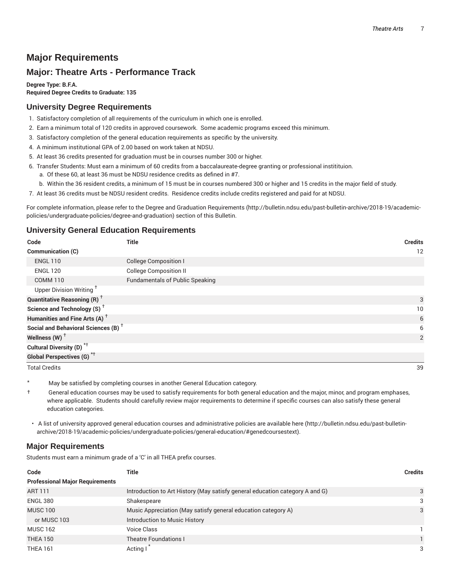# **Major Requirements**

# **Major: Theatre Arts - Performance Track**

**Degree Type: B.F.A. Required Degree Credits to Graduate: 135**

#### **University Degree Requirements**

- 1. Satisfactory completion of all requirements of the curriculum in which one is enrolled.
- 2. Earn a minimum total of 120 credits in approved coursework. Some academic programs exceed this minimum.
- 3. Satisfactory completion of the general education requirements as specific by the university.
- 4. A minimum institutional GPA of 2.00 based on work taken at NDSU.
- 5. At least 36 credits presented for graduation must be in courses number 300 or higher.
- 6. Transfer Students: Must earn a minimum of 60 credits from a baccalaureate-degree granting or professional institituion.
	- a. Of these 60, at least 36 must be NDSU residence credits as defined in #7.
	- b. Within the 36 resident credits, a minimum of 15 must be in courses numbered 300 or higher and 15 credits in the major field of study.
- 7. At least 36 credits must be NDSU resident credits. Residence credits include credits registered and paid for at NDSU.

For complete information, please refer to the Degree and Graduation Requirements (http://bulletin.ndsu.edu/past-bulletin-archive/2018-19/academicpolicies/undergraduate-policies/degree-and-graduation) section of this Bulletin.

#### **University General Education Requirements**

| Code                                            | Title                                  | <b>Credits</b> |
|-------------------------------------------------|----------------------------------------|----------------|
| <b>Communication (C)</b>                        |                                        | 12             |
| <b>ENGL 110</b>                                 | <b>College Composition I</b>           |                |
| <b>ENGL 120</b>                                 | <b>College Composition II</b>          |                |
| <b>COMM 110</b>                                 | <b>Fundamentals of Public Speaking</b> |                |
| Upper Division Writing <sup>+</sup>             |                                        |                |
| <b>Quantitative Reasoning (R)</b> <sup>†</sup>  |                                        | 3              |
| Science and Technology (S) <sup>+</sup>         |                                        | 10             |
| Humanities and Fine Arts (A) <sup>+</sup>       |                                        | 6              |
| Social and Behavioral Sciences (B) <sup>+</sup> |                                        | 6              |
| Wellness (W) $^{\dagger}$                       |                                        | 2              |
| Cultural Diversity (D) <sup>*†</sup>            |                                        |                |
| Global Perspectives (G) <sup>*†</sup>           |                                        |                |

Total Credits 39

May be satisfied by completing courses in another General Education category.

† General education courses may be used to satisfy requirements for both general education and the major, minor, and program emphases, where applicable. Students should carefully review major requirements to determine if specific courses can also satisfy these general education categories.

• A list of university approved general education courses and administrative policies are available here (http://bulletin.ndsu.edu/past-bulletinarchive/2018-19/academic-policies/undergraduate-policies/general-education/#genedcoursestext).

#### **Major Requirements**

Students must earn a minimum grade of a 'C' in all THEA prefix courses.

| Code                                   | Title                                                                        | <b>Credits</b> |
|----------------------------------------|------------------------------------------------------------------------------|----------------|
| <b>Professional Major Requirements</b> |                                                                              |                |
| <b>ART 111</b>                         | Introduction to Art History (May satisfy general education category A and G) | 3              |
| <b>ENGL 380</b>                        | Shakespeare                                                                  | 3              |
| <b>MUSC 100</b>                        | Music Appreciation (May satisfy general education category A)                | 3              |
| or MUSC 103                            | Introduction to Music History                                                |                |
| <b>MUSC 162</b>                        | Voice Class                                                                  |                |
| <b>THEA 150</b>                        | <b>Theatre Foundations I</b>                                                 |                |
| <b>THEA 161</b>                        | Acting I                                                                     | 3              |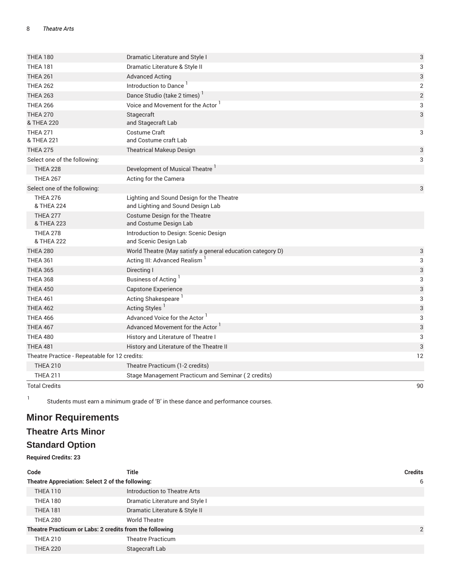| <b>THEA 180</b>                               | Dramatic Literature and Style I                                                | 3          |
|-----------------------------------------------|--------------------------------------------------------------------------------|------------|
| <b>THEA 181</b>                               | Dramatic Literature & Style II                                                 | 3          |
| <b>THEA 261</b>                               | <b>Advanced Acting</b>                                                         | 3          |
| <b>THEA 262</b>                               | Introduction to Dance                                                          | 2          |
| <b>THEA 263</b>                               | Dance Studio (take 2 times) <sup>1</sup>                                       | $\sqrt{2}$ |
| <b>THEA 266</b>                               | Voice and Movement for the Actor                                               | 3          |
| <b>THEA 270</b><br>& THEA 220                 | Stagecraft<br>and Stagecraft Lab                                               | 3          |
| <b>THEA 271</b><br>& THEA 221                 | Costume Craft<br>and Costume craft Lab                                         | 3          |
| <b>THEA 275</b>                               | <b>Theatrical Makeup Design</b>                                                | 3          |
| Select one of the following:                  |                                                                                | 3          |
| <b>THEA 228</b>                               | Development of Musical Theatre <sup>1</sup>                                    |            |
| <b>THEA 267</b>                               | Acting for the Camera                                                          |            |
| Select one of the following:                  |                                                                                | 3          |
| <b>THEA 276</b><br>& THEA 224                 | Lighting and Sound Design for the Theatre<br>and Lighting and Sound Design Lab |            |
| <b>THEA 277</b><br>& THEA 223                 | Costume Design for the Theatre<br>and Costume Design Lab                       |            |
| <b>THEA 278</b><br>& THEA 222                 | Introduction to Design: Scenic Design<br>and Scenic Design Lab                 |            |
| <b>THEA 280</b>                               | World Theatre (May satisfy a general education category D)                     | 3          |
| <b>THEA 361</b>                               | Acting III: Advanced Realism <sup>1</sup>                                      | 3          |
| <b>THEA 365</b>                               | Directing I                                                                    | 3          |
| <b>THEA 368</b>                               | Business of Acting                                                             | 3          |
| <b>THEA 450</b>                               | <b>Capstone Experience</b>                                                     | 3          |
| <b>THEA 461</b>                               | Acting Shakespeare <sup>1</sup>                                                | 3          |
| <b>THEA 462</b>                               | Acting Styles <sup>1</sup>                                                     | 3          |
| <b>THEA 466</b>                               | Advanced Voice for the Actor <sup>1</sup>                                      | 3          |
| <b>THEA 467</b>                               | Advanced Movement for the Actor 1                                              | 3          |
| <b>THEA 480</b>                               | History and Literature of Theatre I                                            | 3          |
| <b>THEA 481</b>                               | History and Literature of the Theatre II                                       | 3          |
| Theatre Practice - Repeatable for 12 credits: |                                                                                |            |
| <b>THEA 210</b>                               | Theatre Practicum (1-2 credits)                                                |            |
| <b>THEA 211</b>                               | Stage Management Practicum and Seminar (2 credits)                             |            |
| <b>Total Credits</b>                          |                                                                                | 90         |

1 Students must earn a minimum grade of 'B' in these dance and performance courses.

# **Minor Requirements**

# **Theatre Arts Minor**

# **Standard Option**

**Required Credits: 23**

| Code                                                    | Title                           | <b>Credits</b> |
|---------------------------------------------------------|---------------------------------|----------------|
| Theatre Appreciation: Select 2 of the following:        |                                 | 6              |
| THEA 110                                                | Introduction to Theatre Arts    |                |
| <b>THEA 180</b>                                         | Dramatic Literature and Style I |                |
| <b>THEA 181</b>                                         | Dramatic Literature & Style II  |                |
| <b>THEA 280</b>                                         | <b>World Theatre</b>            |                |
| Theatre Practicum or Labs: 2 credits from the following |                                 | $\overline{2}$ |
| <b>THEA 210</b>                                         | <b>Theatre Practicum</b>        |                |
| <b>THEA 220</b>                                         | Stagecraft Lab                  |                |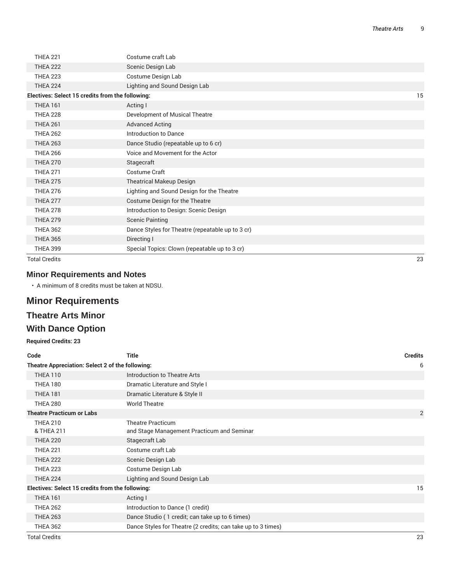| <b>THEA 221</b>                                  | Costume craft Lab                                |    |
|--------------------------------------------------|--------------------------------------------------|----|
| <b>THEA 222</b>                                  | Scenic Design Lab                                |    |
| <b>THEA 223</b>                                  | Costume Design Lab                               |    |
| <b>THEA 224</b>                                  | Lighting and Sound Design Lab                    |    |
| Electives: Select 15 credits from the following: |                                                  | 15 |
| <b>THEA 161</b>                                  | Acting I                                         |    |
| <b>THEA 228</b>                                  | Development of Musical Theatre                   |    |
| <b>THEA 261</b>                                  | <b>Advanced Acting</b>                           |    |
| <b>THEA 262</b>                                  | <b>Introduction to Dance</b>                     |    |
| <b>THEA 263</b>                                  | Dance Studio (repeatable up to 6 cr)             |    |
| <b>THEA 266</b>                                  | Voice and Movement for the Actor                 |    |
| <b>THEA 270</b>                                  | Stagecraft                                       |    |
| <b>THEA 271</b>                                  | Costume Craft                                    |    |
| <b>THEA 275</b>                                  | <b>Theatrical Makeup Design</b>                  |    |
| <b>THEA 276</b>                                  | Lighting and Sound Design for the Theatre        |    |
| <b>THEA 277</b>                                  | Costume Design for the Theatre                   |    |
| <b>THEA 278</b>                                  | Introduction to Design: Scenic Design            |    |
| <b>THEA 279</b>                                  | <b>Scenic Painting</b>                           |    |
| <b>THEA 362</b>                                  | Dance Styles for Theatre (repeatable up to 3 cr) |    |
| <b>THEA 365</b>                                  | Directing I                                      |    |
| <b>THEA 399</b>                                  | Special Topics: Clown (repeatable up to 3 cr)    |    |
| <b>Total Credits</b>                             |                                                  | 23 |

#### **Minor Requirements and Notes**

• A minimum of 8 credits must be taken at NDSU.

# **Minor Requirements**

# **Theatre Arts Minor**

# **With Dance Option**

#### **Required Credits: 23**

| Code                                             | <b>Title</b>                                                 | <b>Credits</b> |
|--------------------------------------------------|--------------------------------------------------------------|----------------|
| Theatre Appreciation: Select 2 of the following: | 6                                                            |                |
| <b>THEA 110</b>                                  | Introduction to Theatre Arts                                 |                |
| <b>THEA 180</b>                                  | Dramatic Literature and Style I                              |                |
| <b>THEA 181</b>                                  | Dramatic Literature & Style II                               |                |
| <b>THEA 280</b>                                  | <b>World Theatre</b>                                         |                |
| <b>Theatre Practicum or Labs</b>                 |                                                              | $\overline{2}$ |
| <b>THEA 210</b>                                  | <b>Theatre Practicum</b>                                     |                |
| & THEA 211                                       | and Stage Management Practicum and Seminar                   |                |
| <b>THEA 220</b>                                  | Stagecraft Lab                                               |                |
| <b>THEA 221</b>                                  | Costume craft Lab                                            |                |
| <b>THEA 222</b>                                  | Scenic Design Lab                                            |                |
| <b>THEA 223</b>                                  | Costume Design Lab                                           |                |
| <b>THEA 224</b>                                  | Lighting and Sound Design Lab                                |                |
| Electives: Select 15 credits from the following: |                                                              | 15             |
| <b>THEA 161</b>                                  | Acting I                                                     |                |
| <b>THEA 262</b>                                  | Introduction to Dance (1 credit)                             |                |
| <b>THEA 263</b>                                  | Dance Studio (1 credit; can take up to 6 times)              |                |
| <b>THEA 362</b>                                  | Dance Styles for Theatre (2 credits; can take up to 3 times) |                |
| <b>Total Credits</b>                             |                                                              | 23             |